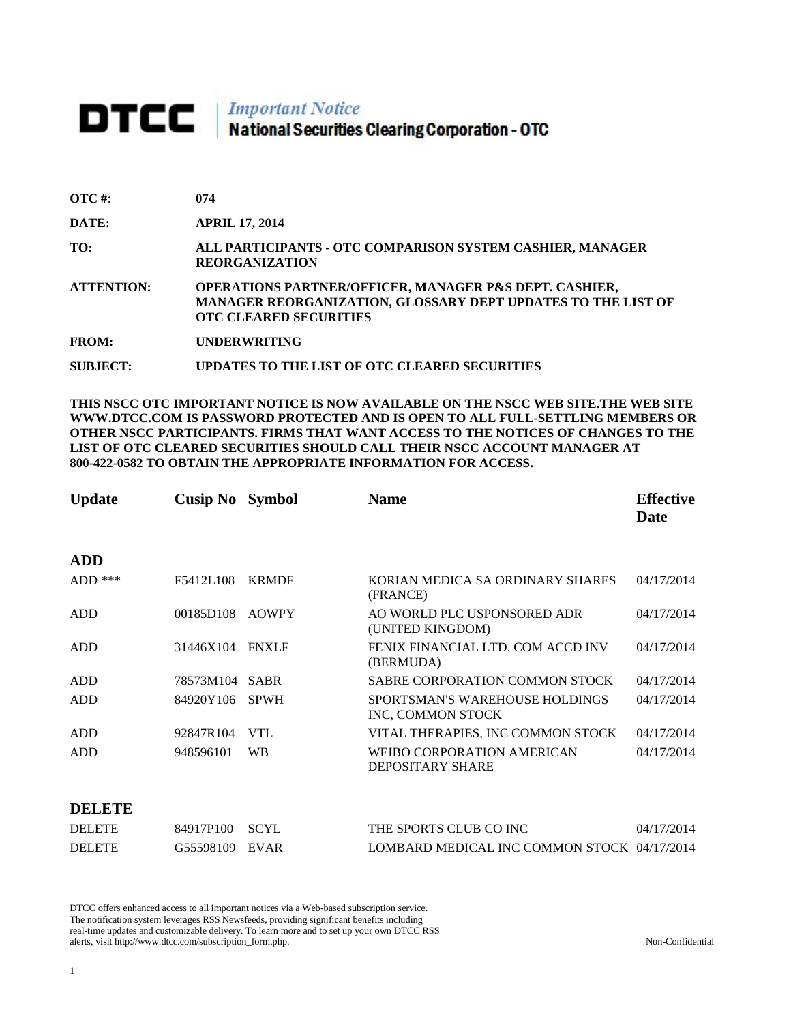# **DTCC** National Securities Clearing Corporation - OTC

| $\overline{OTC}$ #: | 074                                                                                                                                                                |
|---------------------|--------------------------------------------------------------------------------------------------------------------------------------------------------------------|
| DATE:               | <b>APRIL 17, 2014</b>                                                                                                                                              |
| TO:                 | ALL PARTICIPANTS - OTC COMPARISON SYSTEM CASHIER, MANAGER<br><b>REORGANIZATION</b>                                                                                 |
| <b>ATTENTION:</b>   | <b>OPERATIONS PARTNER/OFFICER, MANAGER P&amp;S DEPT. CASHIER,</b><br>MANAGER REORGANIZATION, GLOSSARY DEPT UPDATES TO THE LIST OF<br><b>OTC CLEARED SECURITIES</b> |
| <b>FROM:</b>        | <b>UNDERWRITING</b>                                                                                                                                                |
| <b>SUBJECT:</b>     | UPDATES TO THE LIST OF OTC CLEARED SECURITIES                                                                                                                      |

**THIS NSCC OTC IMPORTANT NOTICE IS NOW AVAILABLE ON THE NSCC WEB SITE.THE WEB SITE WWW.DTCC.COM IS PASSWORD PROTECTED AND IS OPEN TO ALL FULL-SETTLING MEMBERS OR OTHER NSCC PARTICIPANTS. FIRMS THAT WANT ACCESS TO THE NOTICES OF CHANGES TO THE LIST OF OTC CLEARED SECURITIES SHOULD CALL THEIR NSCC ACCOUNT MANAGER AT 800-422-0582 TO OBTAIN THE APPROPRIATE INFORMATION FOR ACCESS.** 

| <b>Update</b> | <b>Cusip No</b> | <b>Symbol</b> | <b>Name</b>                                         | <b>Effective</b><br>Date |
|---------------|-----------------|---------------|-----------------------------------------------------|--------------------------|
| <b>ADD</b>    |                 |               |                                                     |                          |
| $ADD$ ***     | F5412L108       | <b>KRMDF</b>  | KORIAN MEDICA SA ORDINARY SHARES<br>(FRANCE)        | 04/17/2014               |
| ADD           | 00185D108       | <b>AOWPY</b>  | AO WORLD PLC USPONSORED ADR<br>(UNITED KINGDOM)     | 04/17/2014               |
| ADD           | 31446X104       | <b>FNXLF</b>  | FENIX FINANCIAL LTD. COM ACCD INV<br>(BERMUDA)      | 04/17/2014               |
| ADD           | 78573M104       | <b>SABR</b>   | SABRE CORPORATION COMMON STOCK                      | 04/17/2014               |
| <b>ADD</b>    | 84920Y106       | <b>SPWH</b>   | SPORTSMAN'S WAREHOUSE HOLDINGS<br>INC, COMMON STOCK | 04/17/2014               |
| <b>ADD</b>    | 92847R104       | <b>VTL</b>    | VITAL THERAPIES, INC COMMON STOCK                   | 04/17/2014               |
| <b>ADD</b>    | 948596101       | <b>WB</b>     | WEIBO CORPORATION AMERICAN<br>DEPOSITARY SHARE      | 04/17/2014               |
|               |                 |               |                                                     |                          |

#### **DELETE**

| <b>DELETE</b> | 84917P100 SCYL | THE SPORTS CLUB CO INC                      | 04/17/2014 |
|---------------|----------------|---------------------------------------------|------------|
| <b>DELETE</b> | G55598109 EVAR | LOMBARD MEDICAL INC COMMON STOCK 04/17/2014 |            |

DTCC offers enhanced access to all important notices via a Web-based subscription service. The notification system leverages RSS Newsfeeds, providing significant benefits including real-time updates and customizable delivery. To learn more and to set up your own DTCC RSS alerts, visit http://www.dtcc.com/subscription\_form.php. Non-Confidential